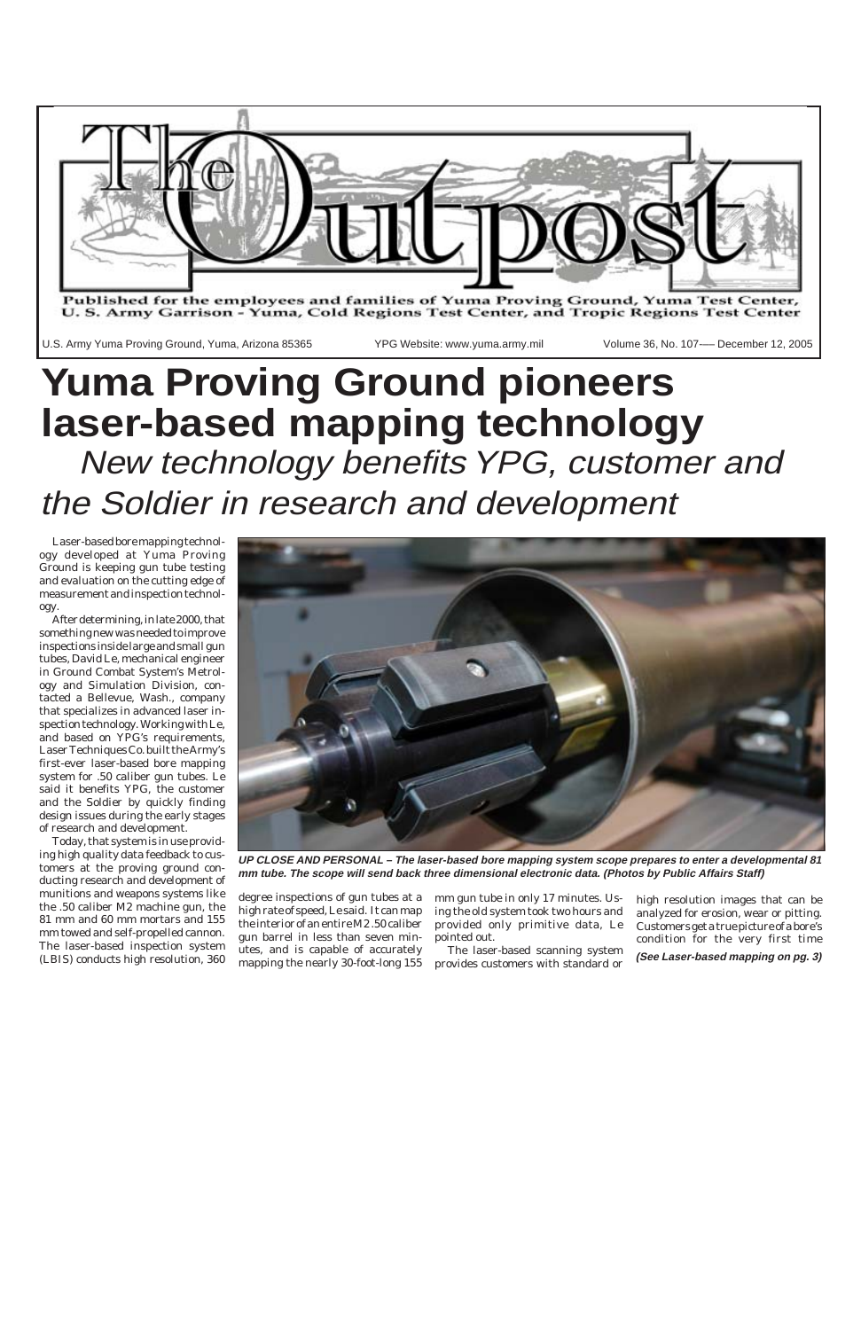

Laser-based bore mapping technology developed at Yuma Proving Ground is keeping gun tube testing and evaluation on the cutting edge of measurement and inspection technology.

After determining, in late 2000, that something new was needed to improve inspections inside large and small gun tubes, David Le, mechanical engineer in Ground Combat System's Metrology and Simulation Division, contacted a Bellevue, Wash., company that specializes in advanced laser inspection technology. Working with Le, and based on YPG's requirements, Laser Techniques Co. built the Army's first-ever laser-based bore mapping system for .50 caliber gun tubes. Le said it benefits YPG, the customer and the Soldier by quickly finding design issues during the early stages of research and development.

Today, that system is in use providing high quality data feedback to customers at the proving ground conducting research and development of munitions and weapons systems like the .50 caliber M2 machine gun, the 81 mm and 60 mm mortars and 155 mm towed and self-propelled cannon. The laser-based inspection system (LBIS) conducts high resolution, 360

degree inspections of gun tubes at a high rate of speed, Le said. It can map the interior of an entire M2 .50 caliber gun barrel in less than seven minutes, and is capable of accurately mapping the nearly 30-foot-long 155 mm gun tube in only 17 minutes. Using the old system took two hours and provided only primitive data, Le pointed out.

## **Yuma Proving Ground pioneers laser-based mapping technology** New technology benefits YPG, customer and the Soldier in research and development

The laser-based scanning system provides customers with standard or high resolution images that can be analyzed for erosion, wear or pitting. Customers get a true picture of a bore's condition for the very first time

**(See Laser-based mapping on pg. 3)**



**UP CLOSE AND PERSONAL – The laser-based bore mapping system scope prepares to enter a developmental 81 mm tube. The scope will send back three dimensional electronic data. (Photos by Public Affairs Staff)**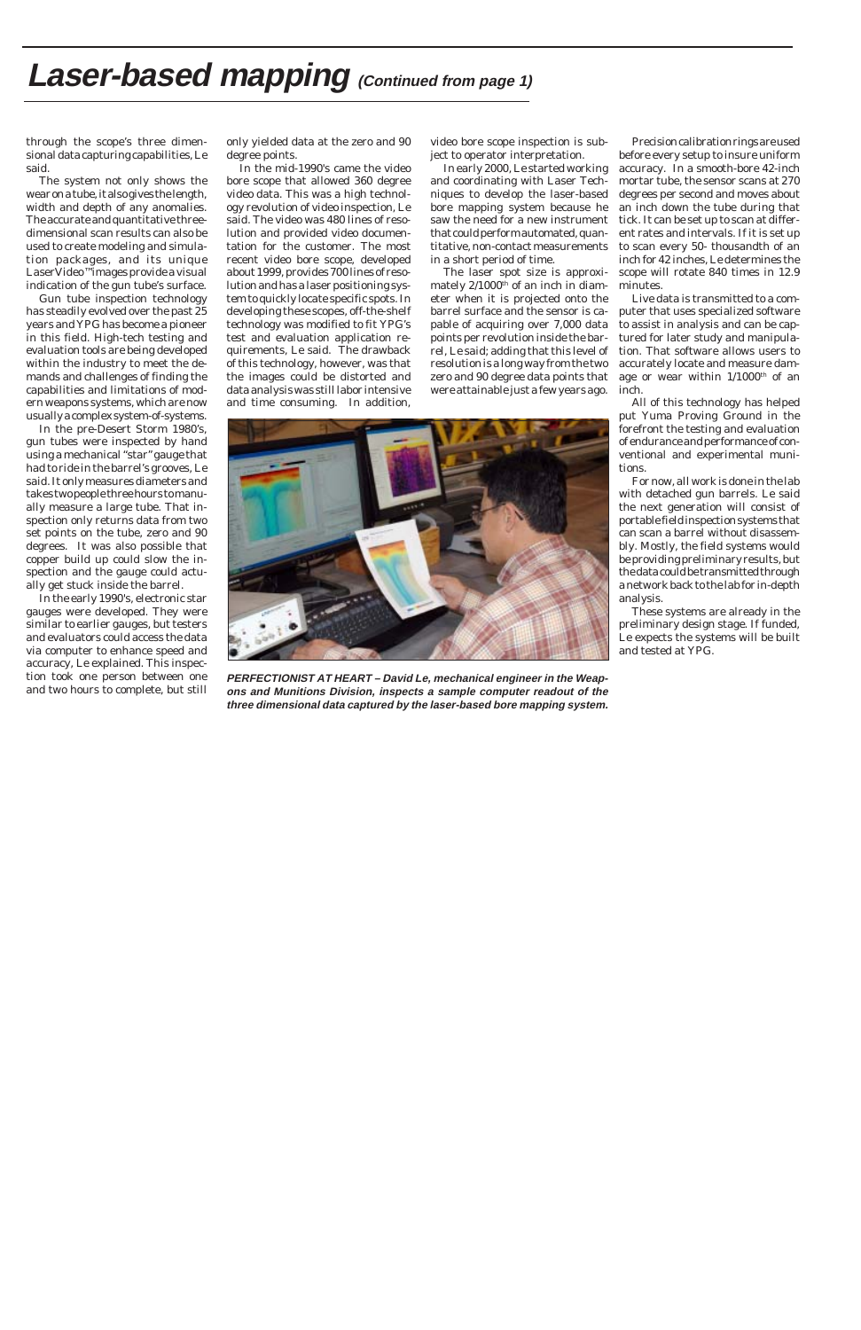## **Laser-based mapping** (Continued from page 1)

through the scope's three dimensional data capturing capabilities, Le said.

The system not only shows the wear on a tube, it also gives the length, width and depth of any anomalies. The accurate and quantitative threedimensional scan results can also be used to create modeling and simulation packages, and its unique LaserVideo<sup>™</sup> mages provide a visual indication of the gun tube's surface.

Gun tube inspection technology has steadily evolved over the past 25 years and YPG has become a pioneer in this field. High-tech testing and evaluation tools are being developed within the industry to meet the demands and challenges of finding the capabilities and limitations of modern weapons systems, which are now usually a complex system-of-systems.

In the pre-Desert Storm 1980's, gun tubes were inspected by hand using a mechanical "star" gauge that had to ride in the barrel's grooves, Le said. It only measures diameters and takes two people three hours to manually measure a large tube. That inspection only returns data from two set points on the tube, zero and 90 degrees. It was also possible that copper build up could slow the inspection and the gauge could actually get stuck inside the barrel.

In the early 1990's, electronic star gauges were developed. They were similar to earlier gauges, but testers and evaluators could access the data via computer to enhance speed and accuracy, Le explained. This inspection took one person between one and two hours to complete, but still

only yielded data at the zero and 90 degree points.

In the mid-1990's came the video bore scope that allowed 360 degree video data. This was a high technology revolution of video inspection, Le said. The video was 480 lines of resolution and provided video documentation for the customer. The most recent video bore scope, developed about 1999, provides 700 lines of resolution and has a laser positioning system to quickly locate specific spots. In developing these scopes, off-the-shelf technology was modified to fit YPG's test and evaluation application requirements, Le said. The drawback of this technology, however, was that the images could be distorted and data analysis was still labor intensive and time consuming. In addition,

video bore scope inspection is subject to operator interpretation.

In early 2000, Le started working and coordinating with Laser Techniques to develop the laser-based bore mapping system because he saw the need for a new instrument that could perform automated, quantitative, non-contact measurements in a short period of time.

The laser spot size is approximately  $2/1000$ <sup>th</sup> of an inch in diameter when it is projected onto the barrel surface and the sensor is capable of acquiring over 7,000 data points per revolution inside the barrel, Le said; adding that this level of resolution is a long way from the two zero and 90 degree data points that were attainable just a few years ago.



**PERFECTIONIST AT HEART – David Le, mechanical engineer in the Weapons and Munitions Division, inspects a sample computer readout of the three dimensional data captured by the laser-based bore mapping system.**

Precision calibration rings are used before every setup to insure uniform accuracy. In a smooth-bore 42-inch mortar tube, the sensor scans at 270 degrees per second and moves about an inch down the tube during that tick. It can be set up to scan at different rates and intervals. If it is set up to scan every 50- thousandth of an inch for 42 inches, Le determines the scope will rotate 840 times in 12.9 minutes.

Live data is transmitted to a computer that uses specialized software to assist in analysis and can be captured for later study and manipulation. That software allows users to accurately locate and measure damage or wear within  $1/1000<sup>th</sup>$  of an inch.

All of this technology has helped put Yuma Proving Ground in the forefront the testing and evaluation of endurance and performance of conventional and experimental munitions.

For now, all work is done in the lab with detached gun barrels. Le said the next generation will consist of portable field inspection systems that can scan a barrel without disassembly. Mostly, the field systems would be providing preliminary results, but the data could be transmitted through a network back to the lab for in-depth analysis.

These systems are already in the preliminary design stage. If funded, Le expects the systems will be built and tested at YPG.